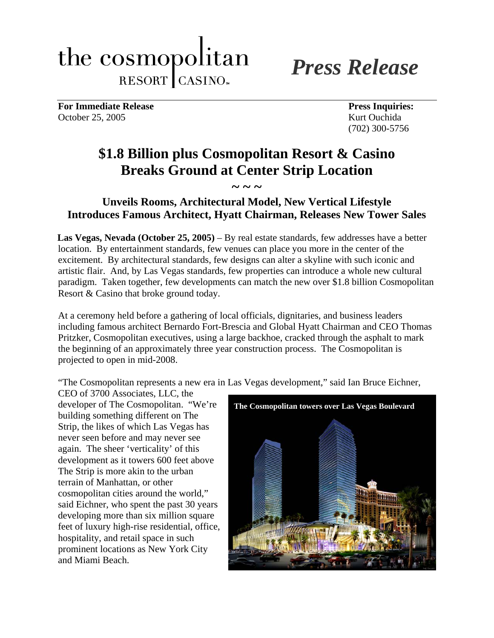# the cosmopolitan RESORT CASINO.

*Press Release*

For Immediate Release Press Inquiries: October 25, 2005 Kurt Ouchida

(702) 300-5756

# **\$1.8 Billion plus Cosmopolitan Resort & Casino Breaks Ground at Center Strip Location**

# **Unveils Rooms, Architectural Model, New Vertical Lifestyle Introduces Famous Architect, Hyatt Chairman, Releases New Tower Sales**

 $\sim$  ~ ~

**Las Vegas, Nevada (October 25, 2005)** – By real estate standards, few addresses have a better location. By entertainment standards, few venues can place you more in the center of the excitement. By architectural standards, few designs can alter a skyline with such iconic and artistic flair. And, by Las Vegas standards, few properties can introduce a whole new cultural paradigm. Taken together, few developments can match the new over \$1.8 billion Cosmopolitan Resort & Casino that broke ground today.

At a ceremony held before a gathering of local officials, dignitaries, and business leaders including famous architect Bernardo Fort-Brescia and Global Hyatt Chairman and CEO Thomas Pritzker, Cosmopolitan executives, using a large backhoe, cracked through the asphalt to mark the beginning of an approximately three year construction process. The Cosmopolitan is projected to open in mid-2008.

"The Cosmopolitan represents a new era in Las Vegas development," said Ian Bruce Eichner,

CEO of 3700 Associates, LLC, the developer of The Cosmopolitan. "We're building something different on The Strip, the likes of which Las Vegas has never seen before and may never see again. The sheer 'verticality' of this development as it towers 600 feet above The Strip is more akin to the urban terrain of Manhattan, or other cosmopolitan cities around the world," said Eichner, who spent the past 30 years developing more than six million square feet of luxury high-rise residential, office, hospitality, and retail space in such prominent locations as New York City and Miami Beach.

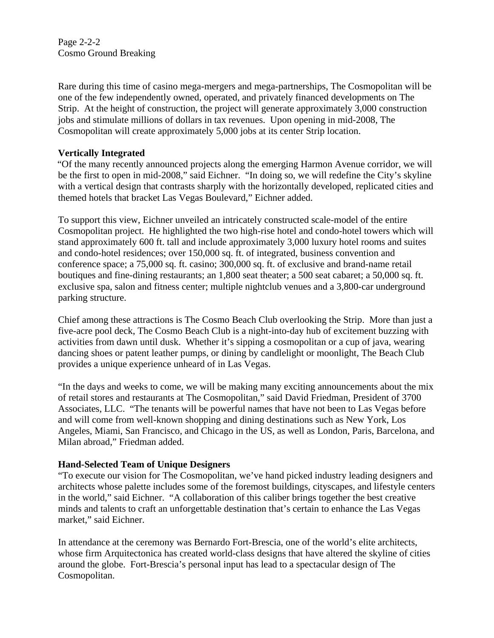Page 2-2-2 Cosmo Ground Breaking

Rare during this time of casino mega-mergers and mega-partnerships, The Cosmopolitan will be one of the few independently owned, operated, and privately financed developments on The Strip. At the height of construction, the project will generate approximately 3,000 construction jobs and stimulate millions of dollars in tax revenues. Upon opening in mid-2008, The Cosmopolitan will create approximately 5,000 jobs at its center Strip location.

#### **Vertically Integrated**

"Of the many recently announced projects along the emerging Harmon Avenue corridor, we will be the first to open in mid-2008," said Eichner. "In doing so, we will redefine the City's skyline with a vertical design that contrasts sharply with the horizontally developed, replicated cities and themed hotels that bracket Las Vegas Boulevard," Eichner added.

To support this view, Eichner unveiled an intricately constructed scale-model of the entire Cosmopolitan project. He highlighted the two high-rise hotel and condo-hotel towers which will stand approximately 600 ft. tall and include approximately 3,000 luxury hotel rooms and suites and condo-hotel residences; over 150,000 sq. ft. of integrated, business convention and conference space; a 75,000 sq. ft. casino; 300,000 sq. ft. of exclusive and brand-name retail boutiques and fine-dining restaurants; an 1,800 seat theater; a 500 seat cabaret; a 50,000 sq. ft. exclusive spa, salon and fitness center; multiple nightclub venues and a 3,800-car underground parking structure.

Chief among these attractions is The Cosmo Beach Club overlooking the Strip. More than just a five-acre pool deck, The Cosmo Beach Club is a night-into-day hub of excitement buzzing with activities from dawn until dusk. Whether it's sipping a cosmopolitan or a cup of java, wearing dancing shoes or patent leather pumps, or dining by candlelight or moonlight, The Beach Club provides a unique experience unheard of in Las Vegas.

"In the days and weeks to come, we will be making many exciting announcements about the mix of retail stores and restaurants at The Cosmopolitan," said David Friedman, President of 3700 Associates, LLC. "The tenants will be powerful names that have not been to Las Vegas before and will come from well-known shopping and dining destinations such as New York, Los Angeles, Miami, San Francisco, and Chicago in the US, as well as London, Paris, Barcelona, and Milan abroad," Friedman added.

#### **Hand-Selected Team of Unique Designers**

"To execute our vision for The Cosmopolitan, we've hand picked industry leading designers and architects whose palette includes some of the foremost buildings, cityscapes, and lifestyle centers in the world," said Eichner. "A collaboration of this caliber brings together the best creative minds and talents to craft an unforgettable destination that's certain to enhance the Las Vegas market," said Eichner.

In attendance at the ceremony was Bernardo Fort-Brescia, one of the world's elite architects, whose firm Arquitectonica has created world-class designs that have altered the skyline of cities around the globe. Fort-Brescia's personal input has lead to a spectacular design of The Cosmopolitan.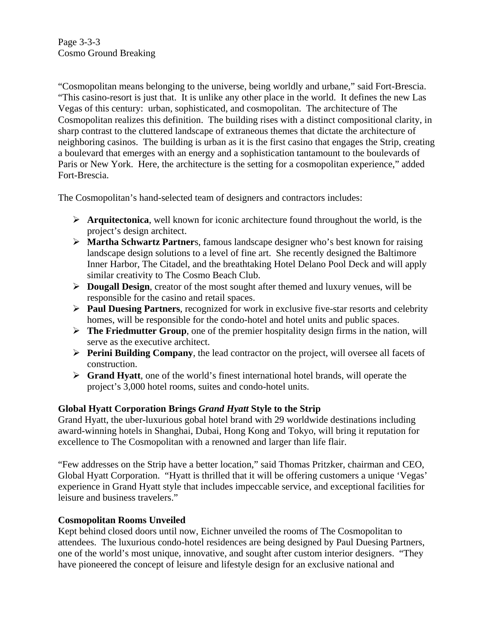"Cosmopolitan means belonging to the universe, being worldly and urbane," said Fort-Brescia. "This casino-resort is just that. It is unlike any other place in the world. It defines the new Las Vegas of this century: urban, sophisticated, and cosmopolitan. The architecture of The Cosmopolitan realizes this definition. The building rises with a distinct compositional clarity, in sharp contrast to the cluttered landscape of extraneous themes that dictate the architecture of neighboring casinos. The building is urban as it is the first casino that engages the Strip, creating a boulevard that emerges with an energy and a sophistication tantamount to the boulevards of Paris or New York. Here, the architecture is the setting for a cosmopolitan experience," added Fort-Brescia.

The Cosmopolitan's hand-selected team of designers and contractors includes:

- ¾ **Arquitectonica**, well known for iconic architecture found throughout the world, is the project's design architect.
- ¾ **Martha Schwartz Partner**s, famous landscape designer who's best known for raising landscape design solutions to a level of fine art. She recently designed the Baltimore Inner Harbor, The Citadel, and the breathtaking Hotel Delano Pool Deck and will apply similar creativity to The Cosmo Beach Club.
- ¾ **Dougall Design**, creator of the most sought after themed and luxury venues, will be responsible for the casino and retail spaces.
- ¾ **Paul Duesing Partners**, recognized for work in exclusive five-star resorts and celebrity homes, will be responsible for the condo-hotel and hotel units and public spaces.
- ¾ **The Friedmutter Group**, one of the premier hospitality design firms in the nation, will serve as the executive architect.
- ¾ **Perini Building Company**, the lead contractor on the project, will oversee all facets of construction.
- ¾ **Grand Hyatt**, one of the world's finest international hotel brands, will operate the project's 3,000 hotel rooms, suites and condo-hotel units.

## **Global Hyatt Corporation Brings** *Grand Hyatt* **Style to the Strip**

Grand Hyatt, the uber-luxurious gobal hotel brand with 29 worldwide destinations including award-winning hotels in Shanghai, Dubai, Hong Kong and Tokyo, will bring it reputation for excellence to The Cosmopolitan with a renowned and larger than life flair.

"Few addresses on the Strip have a better location," said Thomas Pritzker, chairman and CEO, Global Hyatt Corporation. "Hyatt is thrilled that it will be offering customers a unique 'Vegas' experience in Grand Hyatt style that includes impeccable service, and exceptional facilities for leisure and business travelers."

## **Cosmopolitan Rooms Unveiled**

Kept behind closed doors until now, Eichner unveiled the rooms of The Cosmopolitan to attendees. The luxurious condo-hotel residences are being designed by Paul Duesing Partners, one of the world's most unique, innovative, and sought after custom interior designers. "They have pioneered the concept of leisure and lifestyle design for an exclusive national and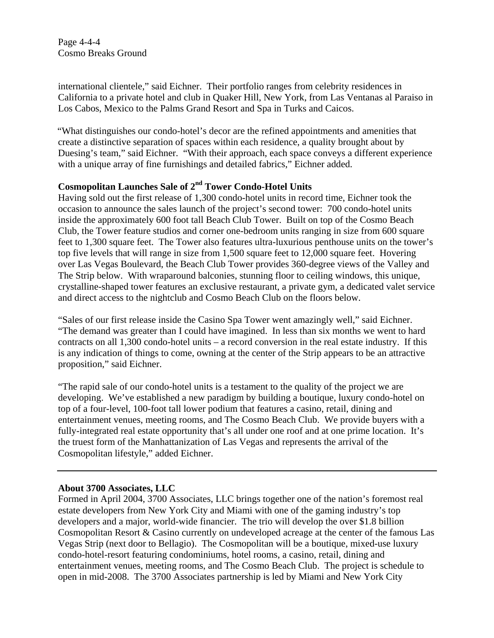Page 4-4-4 Cosmo Breaks Ground

international clientele," said Eichner. Their portfolio ranges from celebrity residences in California to a private hotel and club in Quaker Hill, New York, from Las Ventanas al Paraiso in Los Cabos, Mexico to the Palms Grand Resort and Spa in Turks and Caicos.

"What distinguishes our condo-hotel's decor are the refined appointments and amenities that create a distinctive separation of spaces within each residence, a quality brought about by Duesing's team," said Eichner. "With their approach, each space conveys a different experience with a unique array of fine furnishings and detailed fabrics," Eichner added.

#### **Cosmopolitan Launches Sale of 2nd Tower Condo-Hotel Units**

Having sold out the first release of 1,300 condo-hotel units in record time, Eichner took the occasion to announce the sales launch of the project's second tower: 700 condo-hotel units inside the approximately 600 foot tall Beach Club Tower. Built on top of the Cosmo Beach Club, the Tower feature studios and corner one-bedroom units ranging in size from 600 square feet to 1,300 square feet. The Tower also features ultra-luxurious penthouse units on the tower's top five levels that will range in size from 1,500 square feet to 12,000 square feet. Hovering over Las Vegas Boulevard, the Beach Club Tower provides 360-degree views of the Valley and The Strip below. With wraparound balconies, stunning floor to ceiling windows, this unique, crystalline-shaped tower features an exclusive restaurant, a private gym, a dedicated valet service and direct access to the nightclub and Cosmo Beach Club on the floors below.

"Sales of our first release inside the Casino Spa Tower went amazingly well," said Eichner. "The demand was greater than I could have imagined. In less than six months we went to hard contracts on all 1,300 condo-hotel units – a record conversion in the real estate industry. If this is any indication of things to come, owning at the center of the Strip appears to be an attractive proposition," said Eichner.

"The rapid sale of our condo-hotel units is a testament to the quality of the project we are developing. We've established a new paradigm by building a boutique, luxury condo-hotel on top of a four-level, 100-foot tall lower podium that features a casino, retail, dining and entertainment venues, meeting rooms, and The Cosmo Beach Club. We provide buyers with a fully-integrated real estate opportunity that's all under one roof and at one prime location. It's the truest form of the Manhattanization of Las Vegas and represents the arrival of the Cosmopolitan lifestyle," added Eichner.

#### **About 3700 Associates, LLC**

Formed in April 2004, 3700 Associates, LLC brings together one of the nation's foremost real estate developers from New York City and Miami with one of the gaming industry's top developers and a major, world-wide financier. The trio will develop the over \$1.8 billion Cosmopolitan Resort & Casino currently on undeveloped acreage at the center of the famous Las Vegas Strip (next door to Bellagio). The Cosmopolitan will be a boutique, mixed-use luxury condo-hotel-resort featuring condominiums, hotel rooms, a casino, retail, dining and entertainment venues, meeting rooms, and The Cosmo Beach Club. The project is schedule to open in mid-2008. The 3700 Associates partnership is led by Miami and New York City